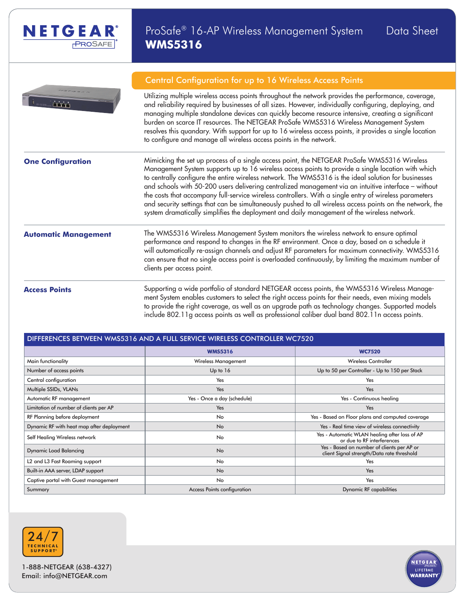



### Central Configuration for up to 16 Wireless Access Points

Utilizing multiple wireless access points throughout the network provides the performance, coverage, and reliability required by businesses of all sizes. However, individually configuring, deploying, and managing multiple standalone devices can quickly become resource intensive, creating a significant burden on scarce IT resources. The NETGEAR ProSafe WMS5316 Wireless Management System resolves this quandary. With support for up to 16 wireless access points, it provides a single location to configure and manage all wireless access points in the network.

**One Configuration** Mimicking the set up process of a single access point, the NETGEAR ProSafe WMS5316 Wireless Management System supports up to 16 wireless access points to provide a single location with which to centrally configure the entire wireless network. The WMS5316 is the ideal solution for businesses and schools with 50-200 users delivering centralized management via an intuitive interface – without the costs that accompany full-service wireless controllers. With a single entry of wireless parameters and security settings that can be simultaneously pushed to all wireless access points on the network, the system dramatically simplifies the deployment and daily management of the wireless network.

**Automatic Management** The WMS5316 Wireless Management System monitors the wireless network to ensure optimal performance and respond to changes in the RF environment. Once a day, based on a schedule it will automatically re-assign channels and adjust RF parameters for maximum connectivity. WMS5316 can ensure that no single access point is overloaded continuously, by limiting the maximum number of clients per access point.

**Access Points** Supporting a wide portfolio of standard NETGEAR access points, the WMS5316 Wireless Management System enables customers to select the right access points for their needs, even mixing models to provide the right coverage, as well as an upgrade path as technology changes. Supported models include 802.11g access points as well as professional caliber dual band 802.11n access points.

| DIFFERENCES BETWEEN WMS5316 AND A FULL SERVICE WIRELESS CONTROLLER WC7520 |                             |                                                                                          |  |  |
|---------------------------------------------------------------------------|-----------------------------|------------------------------------------------------------------------------------------|--|--|
|                                                                           | <b>WMS5316</b>              | <b>WC7520</b>                                                                            |  |  |
| Main functionality                                                        | <b>Wireless Management</b>  | <b>Wireless Controller</b>                                                               |  |  |
| Number of access points                                                   | Up to 16                    | Up to 50 per Controller - Up to 150 per Stack                                            |  |  |
| Central configuration                                                     | Yes                         | Yes                                                                                      |  |  |
| Multiple SSIDs, VLANs                                                     | Yes                         | Yes                                                                                      |  |  |
| Automatic RF management                                                   | Yes - Once a day (schedule) | Yes - Continuous healing                                                                 |  |  |
| Limitation of number of clients per AP                                    | Yes                         | Yes                                                                                      |  |  |
| RF Planning before deployment                                             | No                          | Yes - Based on Floor plans and computed coverage                                         |  |  |
| Dynamic RF with heat map after deployment                                 | <b>No</b>                   | Yes - Real time view of wireless connectivity                                            |  |  |
| Self Healing Wireless network                                             | No                          | Yes - Automatic WLAN healing after loss of AP<br>or due to RF interferences              |  |  |
| <b>Dynamic Load Balancing</b>                                             | <b>No</b>                   | Yes - Based on number of clients per AP or<br>client Signal strength/Data rate threshold |  |  |
| L2 and L3 Fast Roaming support                                            | No                          | Yes                                                                                      |  |  |
| Built-in AAA server, LDAP support                                         | <b>No</b>                   | Yes                                                                                      |  |  |
| Captive portal with Guest management                                      | No                          | Yes                                                                                      |  |  |
| Summary                                                                   | Access Points configuration | Dynamic RF capabilities                                                                  |  |  |



1-888-NETGEAR (638-4327) Email: info@NETGEAR.com

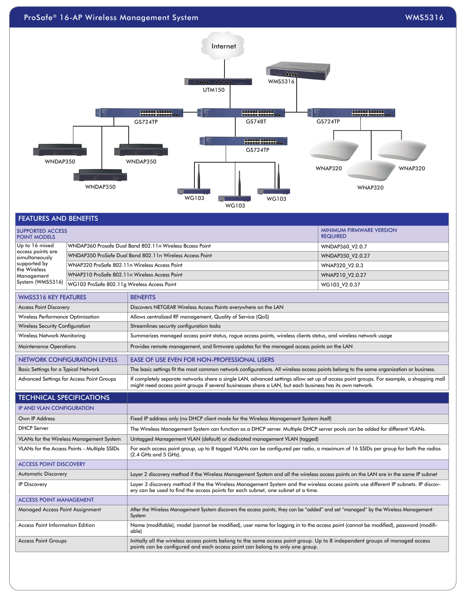## ProSafe® 16-AP Wireless Management System was a statement of the statement of the statement of the statement of the statement of the statement of the statement of the statement of the statement of the statement of the stat



| <b>MINIMUM FIRMWARE VERSION</b><br><b>SUPPORTED ACCESS</b><br><b>POINT MODELS</b><br><b>REQUIRED</b>                                                                                                                                                                                             |                                                                                           |                                                                                                                  |                  |
|--------------------------------------------------------------------------------------------------------------------------------------------------------------------------------------------------------------------------------------------------------------------------------------------------|-------------------------------------------------------------------------------------------|------------------------------------------------------------------------------------------------------------------|------------------|
| Up to 16 mixed<br>access points are<br>simultaneously<br>supported by<br>the Wireless<br>WNAP210 ProSafe 802.11n Wireless Access Point<br>Management                                                                                                                                             | WNDAP360 Prosafe Dual Band 802.11n Wireless Bccess Point                                  | WNDAP360 V2.0.7                                                                                                  |                  |
|                                                                                                                                                                                                                                                                                                  |                                                                                           | WNDAP350 ProSafe Dual Band 802.11n Wireless Access Point                                                         | WNDAP350 V2.0.27 |
|                                                                                                                                                                                                                                                                                                  | WNAP320 ProSafe 802.11n Wireless Access Point                                             |                                                                                                                  | WNAP320 V2.0.3   |
|                                                                                                                                                                                                                                                                                                  |                                                                                           |                                                                                                                  | WNAP210_V2.0.27  |
| System (WMS5316)<br>WG103 ProSafe 802.11g Wireless Access Point                                                                                                                                                                                                                                  |                                                                                           |                                                                                                                  | WG103 V2.0.37    |
| <b>WMS5316 KEY FEATURES</b>                                                                                                                                                                                                                                                                      |                                                                                           | <b>BENEFITS</b>                                                                                                  |                  |
| <b>Access Point Discovery</b>                                                                                                                                                                                                                                                                    |                                                                                           | Discovers NETGEAR Wireless Access Points everywhere on the LAN                                                   |                  |
| Wireless Performance Optimization                                                                                                                                                                                                                                                                |                                                                                           | Allows centralized RF management, Quality of Service (QoS)                                                       |                  |
| <b>Wireless Security Configuration</b>                                                                                                                                                                                                                                                           |                                                                                           | Streamlines security configuration tasks                                                                         |                  |
| Wireless Network Monitoring                                                                                                                                                                                                                                                                      |                                                                                           | Summarizes managed access point status, rogue access points, wireless clients status, and wireless network usage |                  |
| <b>Maintenance Operations</b><br>Provides remote management, and firmware updates for the managed access points on the LAN                                                                                                                                                                       |                                                                                           |                                                                                                                  |                  |
|                                                                                                                                                                                                                                                                                                  | <b>NETWORK CONFIGURATION LEVELS</b><br><b>EASE OF USE EVEN FOR NON-PROFESSIONAL USERS</b> |                                                                                                                  |                  |
| The basic settings fit the most common network configurations. All wireless access points belong to the same organization or business.<br>Basic Settings for a Typical Network                                                                                                                   |                                                                                           |                                                                                                                  |                  |
| If completely separate networks share a single LAN, advanced settings allow set up of access point groups. For example, a shopping mall<br>Advanced Settings for Access Point Groups<br>might need access point groups if several businesses share a LAN, but each business has its own network. |                                                                                           |                                                                                                                  |                  |

| <b>TECHNICAL SPECIFICATIONS</b>              |                                                                                                                                                                                                                        |
|----------------------------------------------|------------------------------------------------------------------------------------------------------------------------------------------------------------------------------------------------------------------------|
| <b>IP AND VLAN CONFIGURATION</b>             |                                                                                                                                                                                                                        |
| Own IP Address                               | Fixed IP address only (no DHCP client mode for the Wireless Management System itself)                                                                                                                                  |
| <b>DHCP</b> Server                           | The Wireless Management System can function as a DHCP server. Multiple DHCP server pools can be added for different VLANs.                                                                                             |
| VLANs for the Wireless Management System     | Untagged Management VLAN (default) or dedicated management VLAN (tagged)                                                                                                                                               |
| VLANs for the Access Points - Multiple SSIDs | For each access point group, up to 8 tagged VLANs can be configured per radio, a maximum of 16 SSIDs per group for both the radios<br>$(2.4$ GHz and 5 GHz).                                                           |
| <b>ACCESS POINT DISCOVERY</b>                |                                                                                                                                                                                                                        |
| <b>Automatic Discovery</b>                   | Layer 2 discovery method if the Wireless Management System and all the wireless access points on the LAN are in the same IP subnet                                                                                     |
| <b>IP Discovery</b>                          | Layer 3 discovery method if the the Wireless Management System and the wireless access points use different IP subnets. IP discov-<br>ery can be used to find the access points for each subnet, one subnet at a time. |
| <b>ACCESS POINT MANAGEMENT</b>               |                                                                                                                                                                                                                        |
| <b>Managed Access Point Assignment</b>       | After the Wireless Management System discovers the access points, they can be "added" and set "managed" by the Wireless Management<br>System                                                                           |
| <b>Access Point Information Edition</b>      | Name (modifiable), model (cannot be modified), user name for logging in to the access point (cannot be modified), password (modifi-<br>able)                                                                           |
| <b>Access Point Groups</b>                   | Initially all the wireless access points belong to the same access point group. Up to 8 independent groups of managed access<br>points can be configured and each access point can belong to only one group.           |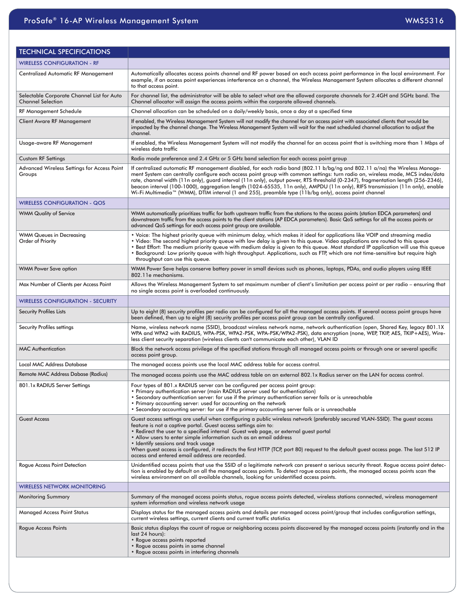| <b>TECHNICAL SPECIFICATIONS</b>                                        |                                                                                                                                                                                                                                                                                                                                                                                                                                                                                                                                                                                                                                             |  |
|------------------------------------------------------------------------|---------------------------------------------------------------------------------------------------------------------------------------------------------------------------------------------------------------------------------------------------------------------------------------------------------------------------------------------------------------------------------------------------------------------------------------------------------------------------------------------------------------------------------------------------------------------------------------------------------------------------------------------|--|
| <b>WIRELESS CONFIGURATION - RF</b>                                     |                                                                                                                                                                                                                                                                                                                                                                                                                                                                                                                                                                                                                                             |  |
| Centralized Automatic RF Management                                    | Automatically allocates access points channel and RF power based on each access point performance in the local environment. For<br>example, if an access point experiences interference on a channel, the Wireless Management System allocates a different channel<br>to that access point.                                                                                                                                                                                                                                                                                                                                                 |  |
| Selectable Corporate Channel List for Auto<br><b>Channel Selection</b> | For channel list, the administrator will be able to select what are the allowed corporate channels for 2.4GH and 5GHz band. The<br>Channel allocator will assign the access points within the corporate allowed channels.                                                                                                                                                                                                                                                                                                                                                                                                                   |  |
| RF Management Schedule                                                 | Channel allocation can be scheduled on a daily/weekly basis, once a day at a specified time                                                                                                                                                                                                                                                                                                                                                                                                                                                                                                                                                 |  |
| Client Aware RF Management                                             | If enabled, the Wireless Management System will not modify the channel for an access point with associated clients that would be<br>impacted by the channel change. The Wireless Management System will wait for the next scheduled channel allocation to adjust the<br>channel.                                                                                                                                                                                                                                                                                                                                                            |  |
| Usage-aware RF Management                                              | If enabled, the Wireless Management System will not modify the channel for an access point that is switching more than 1 Mbps of<br>wireless data traffic                                                                                                                                                                                                                                                                                                                                                                                                                                                                                   |  |
| Custom RF Settings                                                     | Radio mode preference and 2.4 GHz or 5 GHz band selection for each access point group                                                                                                                                                                                                                                                                                                                                                                                                                                                                                                                                                       |  |
| Advanced Wireless Settings for Access Point<br>Groups                  | If centralized automatic RF management disabled, for each radio band (802.11 b/bg/ng and 802.11 a/na) the Wireless Manage-<br>ment System can centrally configure each access point group with common settings: turn radio on, wireless mode, MCS index/data<br>rate, channel width (11n only), guard interval (11n only), output power, RTS threshold (0-2347), fragmentation length (256-2346),<br>beacon interval (100-1000), aggregation length (1024-65535, 11n only), AMPDU (11n only), RIFS transmission (11n only), enable<br>Wi-Fi Multimedia™ (WMM), DTIM interval (1 and 255), preamble type (11b/bg only), access point channel |  |
| <b>WIRELESS CONFIGURATION - QOS</b>                                    |                                                                                                                                                                                                                                                                                                                                                                                                                                                                                                                                                                                                                                             |  |
| <b>WMM Quality of Service</b>                                          | WMM automatically prioritizes traffic for both upstream traffic from the stations to the access points (station EDCA parameters) and<br>downstream traffic from the access points to the client stations (AP EDCA parameters). Basic QoS settings for all the access points or<br>advanced QoS settings for each access point group are available.                                                                                                                                                                                                                                                                                          |  |
| WMM Queues in Decreasing<br>Order of Priority                          | . Voice: The highest priority queue with minimum delay, which makes it ideal for applications like VOIP and streaming media<br>• Video: The second highest priority queue with low delay is given to this queue. Video applications are routed to this queue<br>. Best Effort: The medium priority queue with medium delay is given to this queue. Most standard IP application will use this queue<br>. Background: Low priority queue with high throughput. Applications, such as FTP, which are not time-sensitive but require high<br>throughput can use this queue.                                                                    |  |
| WMM Power Save option                                                  | WMM Power Save helps conserve battery power in small devices such as phones, laptops, PDAs, and audio players using IEEE<br>802.11e mechanisms.                                                                                                                                                                                                                                                                                                                                                                                                                                                                                             |  |
| Max Number of Clients per Access Point                                 | Allows the Wireless Management System to set maximum number of client's limitation per access point or per radio – ensuring that<br>no single access point is overloaded continuously.                                                                                                                                                                                                                                                                                                                                                                                                                                                      |  |
| WIRELESS CONFIGURATION - SECURITY                                      |                                                                                                                                                                                                                                                                                                                                                                                                                                                                                                                                                                                                                                             |  |
| Security Profiles Lists                                                | Up to eight (8) security profiles per radio can be configured for all the managed access points. If several access point groups have<br>been defined, then up to eight (8) security profiles per access point group can be centrally configured.                                                                                                                                                                                                                                                                                                                                                                                            |  |
| Security Profiles settings                                             | Name, wireless network name (SSID), broadcast wireless network name, network authentication (open, Shared Key, legacy 801.1X<br>WPA and WPA2 with RADIUS, WPA-PSK, WPA2-PSK, WPA-PSK/WPA2-PSK), data encryption (none, WEP, TKIP, AES, TKIP+AES), Wire-<br>less client security separation (wireless clients can't communicate each other), VLAN ID                                                                                                                                                                                                                                                                                         |  |
| <b>MAC Authentication</b>                                              | Block the network access privilege of the specified stations through all managed access points or through one or several specific<br>access point group.                                                                                                                                                                                                                                                                                                                                                                                                                                                                                    |  |
| <b>Local MAC Address Database</b>                                      | The managed access points use the local MAC address table for access control.                                                                                                                                                                                                                                                                                                                                                                                                                                                                                                                                                               |  |
| Remote MAC Address Dabase (Radius)                                     | The managed access points use the MAC address table on an external 802.1x Radius server on the LAN for access control.                                                                                                                                                                                                                                                                                                                                                                                                                                                                                                                      |  |
| 801.1x RADIUS Server Settings                                          | Four types of 801.x RADIUS server can be configured per access point group:<br>• Primary authentication server (main RADIUS server used for authentication)<br>• Secondary authentication server: for use if the primary authentication server fails or is unreachable<br>• Primary accounting server: used for accounting on the network<br>• Secondary accounting server: for use if the primary accounting server fails or is unreachable                                                                                                                                                                                                |  |
| <b>Guest Access</b>                                                    | Guest access settings are useful when configuring a public wireless network (preferably secured VLAN-SSID). The guest access<br>feature is not a captive portal. Guest access settings aim to:<br>• Redirect the user to a specified internal Guest web page, or external guest portal<br>• Allow users to enter simple information such as an email address<br>• Identify sessions and track usage<br>When guest access is configured, it redirects the first HTTP (TCP, port 80) request to the default guest access page. The last 512 IP<br>access and entered email address are recorded.                                              |  |
| Rogue Access Point Detection                                           | Unidentified access points that use the SSID of a legitimate network can present a serious security threat. Rogue access point detec-<br>tion is enabled by default on all the managed access points. To detect rogue access points, the managed access points scan the<br>wireless environment on all available channels, looking for unidentified access points.                                                                                                                                                                                                                                                                          |  |
| WIRELESS NETWORK MONITORING                                            |                                                                                                                                                                                                                                                                                                                                                                                                                                                                                                                                                                                                                                             |  |
| <b>Monitoring Summary</b>                                              | Summary of the managed access points status, rogue access points detected, wireless stations connected, wireless management<br>system information and wireless network usage                                                                                                                                                                                                                                                                                                                                                                                                                                                                |  |
| Managed Access Point Status                                            | Displays status for the managed access points and details per managed access point/group that includes configuration settings,<br>current wireless settings, current clients and current traffic statistics                                                                                                                                                                                                                                                                                                                                                                                                                                 |  |
| Rogue Access Points                                                    | Basic status displays the count of rogue or neighboring access points discovered by the managed access points (instantly and in the<br>last 24 hours):<br>• Rogue access points reported<br>• Rogue access points in same channel<br>• Rogue access points in interfering channels                                                                                                                                                                                                                                                                                                                                                          |  |